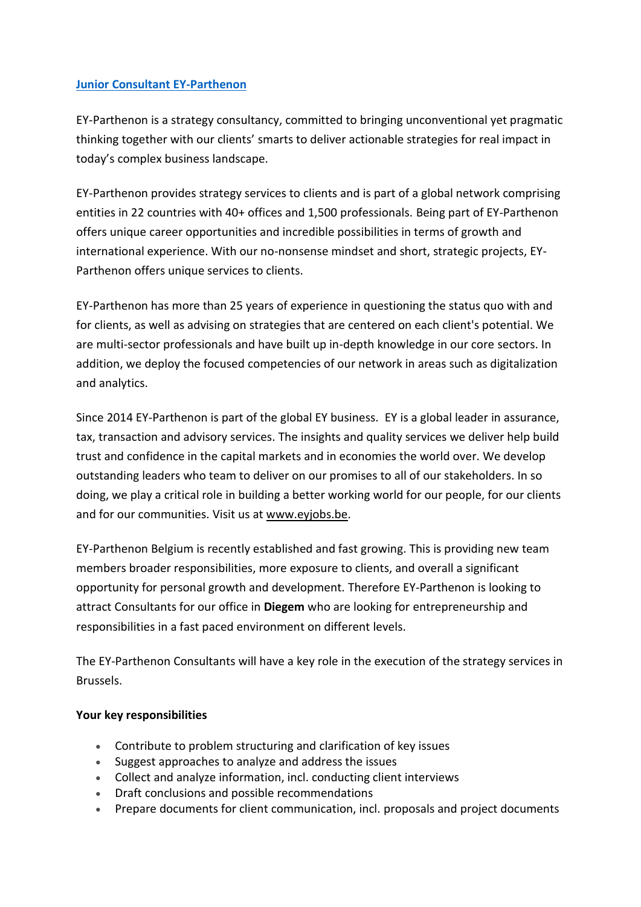## **[Junior Consultant EY-Parthenon](https://eyglobal.yello.co/jobs/GM_Np4ZCcXFpCsJYxlPQhw)**

EY-Parthenon is a strategy consultancy, committed to bringing unconventional yet pragmatic thinking together with our clients' smarts to deliver actionable strategies for real impact in today's complex business landscape.

EY-Parthenon provides strategy services to clients and is part of a global network comprising entities in 22 countries with 40+ offices and 1,500 professionals. Being part of EY-Parthenon offers unique career opportunities and incredible possibilities in terms of growth and international experience. With our no-nonsense mindset and short, strategic projects, EY-Parthenon offers unique services to clients.

EY-Parthenon has more than 25 years of experience in questioning the status quo with and for clients, as well as advising on strategies that are centered on each client's potential. We are multi-sector professionals and have built up in-depth knowledge in our core sectors. In addition, we deploy the focused competencies of our network in areas such as digitalization and analytics.

Since 2014 EY-Parthenon is part of the global EY business. EY is a global leader in assurance, tax, transaction and advisory services. The insights and quality services we deliver help build trust and confidence in the capital markets and in economies the world over. We develop outstanding leaders who team to deliver on our promises to all of our stakeholders. In so doing, we play a critical role in building a better working world for our people, for our clients and for our communities. Visit us at [www.eyjobs.be.](http://www.eyjobs.be/)

EY-Parthenon Belgium is recently established and fast growing. This is providing new team members broader responsibilities, more exposure to clients, and overall a significant opportunity for personal growth and development. Therefore EY-Parthenon is looking to attract Consultants for our office in **Diegem** who are looking for entrepreneurship and responsibilities in a fast paced environment on different levels.

The EY-Parthenon Consultants will have a key role in the execution of the strategy services in Brussels.

## **Your key responsibilities**

- Contribute to problem structuring and clarification of key issues
- Suggest approaches to analyze and address the issues
- Collect and analyze information, incl. conducting client interviews
- Draft conclusions and possible recommendations
- Prepare documents for client communication, incl. proposals and project documents